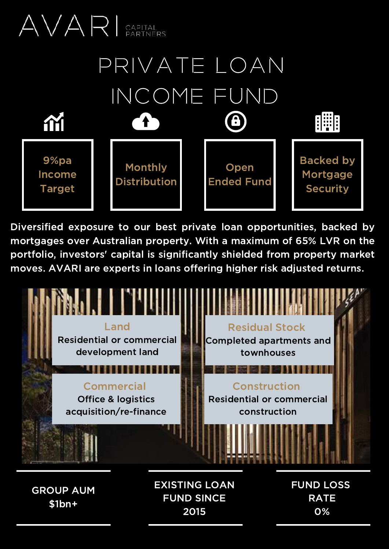

Diversified exposure to our best private loan opportunities, backed by mortgages over Australian property. With a maximum of 65% LVR on the portfolio, investors' capital is significantly shielded from property market moves. AVARI are experts in loans offering higher risk adjusted returns.



GROUP AUM \$1bn+

EXISTING LOAN FUND SINCE 2015

FUND LOSS RATE 0%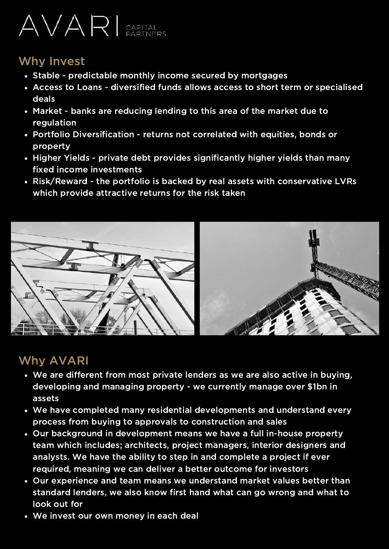# AVARI CAPITAL

## Why Invest

- Stable predictable monthly income secured by mortgages
- Access to Loans diversified funds allows access to short term or specialised deals
- Market banks are reducing lending to this area of the market due to regulation
- Portfolio Diversification returns not correlated with equities, bonds or property
- Higher Yields private debt provides significantly higher yields than many fixed income investments
- Risk/Reward the portfolio is backed by real assets with conservative LVRs which provide attractive returns for the risk taken



## Why AVARI

- We are different from most private lenders as we are also active in buying, developing and managing property - we currently manage over \$1bn in assets
- We have completed many residential developments and understand every process from buying to approvals to construction and sales
- Our background in development means we have a full in-house property team which includes; architects, project managers, interior designers and analysts. We have the ability to step in and complete a project if ever required, meaning we can deliver a better outcome for investors
- Our experience and team means we understand market values better than standard lenders, we also know first hand what can go wrong and what to look out for
- We invest our own money in each deal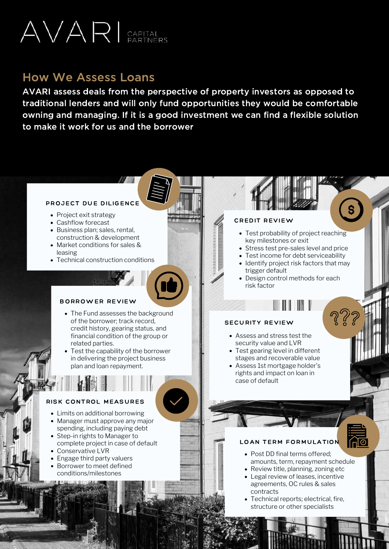

### How We Assess Loans

AVARI assess deals from the perspective of property investors as opposed to traditional lenders and will only fund opportunities they would be comfortable owning and managing. If it is a good investment we can find a flexible solution to make it work for us and the borrower

Project Due Diligence

#### PROJECT DUE DILIGENCE

- Project exit strategy
- Cashflow forecast
- Business plan; sales, rental, construction & development
- Market conditions for sales & leasing
- Technical construction conditions

#### BORROWER REVIEW

- The Fund assesses the background of the borrower; track record, credit history, gearing status, and financial condition of the group or related parties.
- Test the capability of the borrower in delivering the project business plan and loan repayment.

#### RISK CONTROL MEASURES

- Limits on additional borrowing
- Manager must approve any major spending, including paying debt
- Step-in rights to Manager to complete project in case of default
- Conservative LVR
- Engage third party valuers
- Borrower to meet defined conditions/milestones

#### CREDIT REVIEW

- Test probability of project reaching key milestones or exit
- Stress test pre-sales level and price
- Test income for debt serviceability
- Identify project risk factors that may trigger default
- Design control methods for each risk factor

#### SECURITY REVIEW

- Assess and stress test the security value and LVR
- Test gearing level in different stages and recoverable value
- Assess 1st mortgage holder's rights and impact on loan in case of default

#### LOAN TERM FORMULATION

- Post DD final terms offered; amounts, term, repayment schedule
- Review title, planning, zoning etc Legal review of leases, incentive agreements, OC rules & sales contracts
- Technical reports; electrical, fire, structure or other specialists